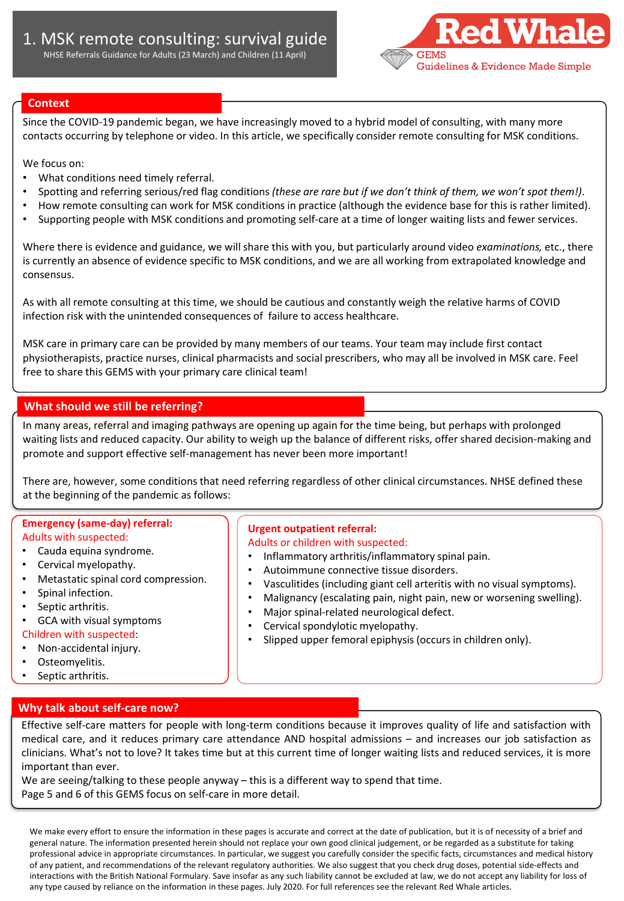

### **Context**

Since the COVID-19 pandemic began, we have increasingly moved to a hybrid model of consulting, with many more contacts occurring by telephone or video. In this article, we specifically consider remote consulting for MSK conditions.

We focus on:

- What conditions need timely referral.
- Spotting and referring serious/red flag conditions *(these are rare but if we don't think of them, we won't spot them!)*.
- How remote consulting can work for MSK conditions in practice (although the evidence base for this is rather limited).
- Supporting people with MSK conditions and promoting self-care at a time of longer waiting lists and fewer services.

Where there is evidence and guidance, we will share this with you, but particularly around video *examinations,* etc., there is currently an absence of evidence specific to MSK conditions, and we are all working from extrapolated knowledge and consensus.

As with all remote consulting at this time, we should be cautious and constantly weigh the relative harms of COVID infection risk with the unintended consequences of failure to access healthcare.

MSK care in primary care can be provided by many members of our teams. Your team may include first contact physiotherapists, practice nurses, clinical pharmacists and social prescribers, who may all be involved in MSK care. Feel free to share this GEMS with your primary care clinical team!

### **What should we still be referring?**

In many areas, referral and imaging pathways are opening up again for the time being, but perhaps with prolonged waiting lists and reduced capacity. Our ability to weigh up the balance of different risks, offer shared decision-making and promote and support effective self-management has never been more important!

There are, however, some conditions that need referring regardless of other clinical circumstances. NHSE defined these at the beginning of the pandemic as follows:

#### **Emergency (same-day) referral:**  Adults with suspected:

- Cauda equina syndrome.
- Cervical myelopathy.
- Metastatic spinal cord compression.
- Spinal infection.
- Septic arthritis.
- GCA with visual symptoms
- Children with suspected:
- Non-accidental injury.
- Osteomyelitis.
- Septic arthritis.

#### **Why talk about self-care now?**

**Urgent outpatient referral:**  Adults or children with suspected:

- Inflammatory arthritis/inflammatory spinal pain.
- Autoimmune connective tissue disorders.
- Vasculitides (including giant cell arteritis with no visual symptoms).
- Malignancy (escalating pain, night pain, new or worsening swelling).
- Major spinal-related neurological defect.
- Cervical spondylotic myelopathy.
- Slipped upper femoral epiphysis (occurs in children only).

Effective self-care matters for people with long-term conditions because it improves quality of life and satisfaction with medical care, and it reduces primary care attendance AND hospital admissions – and increases our job satisfaction as clinicians. What's not to love? It takes time but at this current time of longer waiting lists and reduced services, it is more important than ever.

We are seeing/talking to these people anyway – this is a different way to spend that time. Page 5 and 6 of this GEMS focus on self-care in more detail.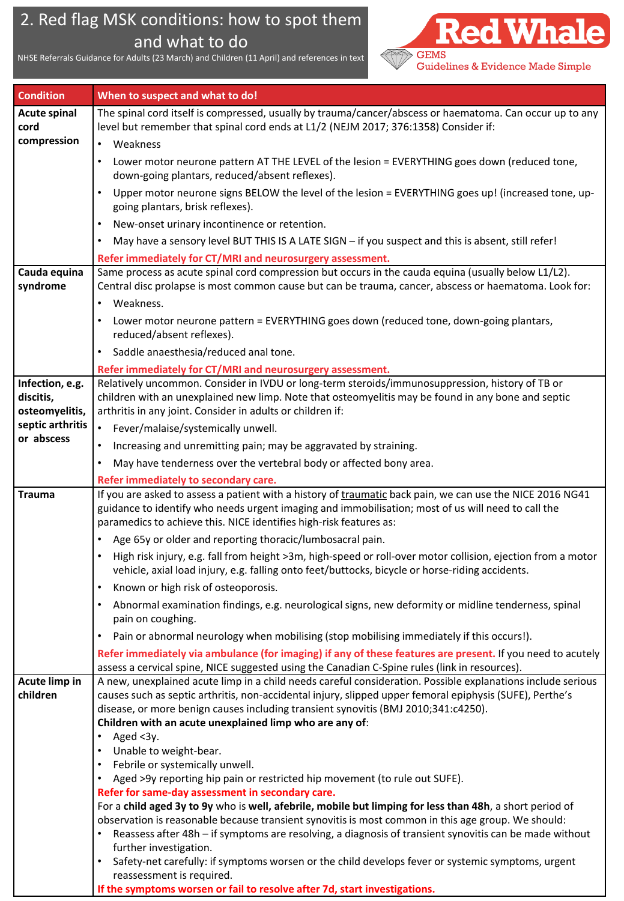# 2. Red flag MSK conditions: how to spot them and what to do

NHSE Referrals Guidance for Adults (23 March) and Children (11 April) and references in text GEMS



| <b>Condition</b>    | When to suspect and what to do!                                                                                                                                                                                                                                                       |  |  |
|---------------------|---------------------------------------------------------------------------------------------------------------------------------------------------------------------------------------------------------------------------------------------------------------------------------------|--|--|
| <b>Acute spinal</b> | The spinal cord itself is compressed, usually by trauma/cancer/abscess or haematoma. Can occur up to any                                                                                                                                                                              |  |  |
| cord                | level but remember that spinal cord ends at L1/2 (NEJM 2017; 376:1358) Consider if:                                                                                                                                                                                                   |  |  |
| compression         | Weakness<br>$\bullet$                                                                                                                                                                                                                                                                 |  |  |
|                     | Lower motor neurone pattern AT THE LEVEL of the lesion = EVERYTHING goes down (reduced tone,<br>down-going plantars, reduced/absent reflexes).                                                                                                                                        |  |  |
|                     | Upper motor neurone signs BELOW the level of the lesion = EVERYTHING goes up! (increased tone, up-                                                                                                                                                                                    |  |  |
|                     | going plantars, brisk reflexes).                                                                                                                                                                                                                                                      |  |  |
|                     | New-onset urinary incontinence or retention.                                                                                                                                                                                                                                          |  |  |
|                     | May have a sensory level BUT THIS IS A LATE SIGN - if you suspect and this is absent, still refer!                                                                                                                                                                                    |  |  |
|                     | Refer immediately for CT/MRI and neurosurgery assessment.                                                                                                                                                                                                                             |  |  |
| Cauda equina        | Same process as acute spinal cord compression but occurs in the cauda equina (usually below L1/L2).                                                                                                                                                                                   |  |  |
| syndrome            | Central disc prolapse is most common cause but can be trauma, cancer, abscess or haematoma. Look for:                                                                                                                                                                                 |  |  |
|                     | Weakness.                                                                                                                                                                                                                                                                             |  |  |
|                     | Lower motor neurone pattern = EVERYTHING goes down (reduced tone, down-going plantars,<br>reduced/absent reflexes).                                                                                                                                                                   |  |  |
|                     | Saddle anaesthesia/reduced anal tone.<br>$\bullet$                                                                                                                                                                                                                                    |  |  |
|                     | Refer immediately for CT/MRI and neurosurgery assessment.                                                                                                                                                                                                                             |  |  |
| Infection, e.g.     | Relatively uncommon. Consider in IVDU or long-term steroids/immunosuppression, history of TB or                                                                                                                                                                                       |  |  |
| discitis,           | children with an unexplained new limp. Note that osteomyelitis may be found in any bone and septic                                                                                                                                                                                    |  |  |
| osteomyelitis,      | arthritis in any joint. Consider in adults or children if:                                                                                                                                                                                                                            |  |  |
| septic arthritis    | $\bullet$<br>Fever/malaise/systemically unwell.                                                                                                                                                                                                                                       |  |  |
| or abscess          | Increasing and unremitting pain; may be aggravated by straining.                                                                                                                                                                                                                      |  |  |
|                     | May have tenderness over the vertebral body or affected bony area.                                                                                                                                                                                                                    |  |  |
|                     | Refer immediately to secondary care.                                                                                                                                                                                                                                                  |  |  |
| <b>Trauma</b>       | If you are asked to assess a patient with a history of traumatic back pain, we can use the NICE 2016 NG41<br>guidance to identify who needs urgent imaging and immobilisation; most of us will need to call the<br>paramedics to achieve this. NICE identifies high-risk features as: |  |  |
|                     | Age 65y or older and reporting thoracic/lumbosacral pain.                                                                                                                                                                                                                             |  |  |
|                     | High risk injury, e.g. fall from height >3m, high-speed or roll-over motor collision, ejection from a motor<br>vehicle, axial load injury, e.g. falling onto feet/buttocks, bicycle or horse-riding accidents.                                                                        |  |  |
|                     | Known or high risk of osteoporosis.                                                                                                                                                                                                                                                   |  |  |
|                     | Abnormal examination findings, e.g. neurological signs, new deformity or midline tenderness, spinal<br>pain on coughing.                                                                                                                                                              |  |  |
|                     | Pain or abnormal neurology when mobilising (stop mobilising immediately if this occurs!).<br>$\bullet$                                                                                                                                                                                |  |  |
|                     | Refer immediately via ambulance (for imaging) if any of these features are present. If you need to acutely                                                                                                                                                                            |  |  |
|                     | assess a cervical spine, NICE suggested using the Canadian C-Spine rules (link in resources).                                                                                                                                                                                         |  |  |
| Acute limp in       | A new, unexplained acute limp in a child needs careful consideration. Possible explanations include serious                                                                                                                                                                           |  |  |
| children            | causes such as septic arthritis, non-accidental injury, slipped upper femoral epiphysis (SUFE), Perthe's<br>disease, or more benign causes including transient synovitis (BMJ 2010;341:c4250).                                                                                        |  |  |
|                     | Children with an acute unexplained limp who are any of:                                                                                                                                                                                                                               |  |  |
|                     | Aged <3y.                                                                                                                                                                                                                                                                             |  |  |
|                     | Unable to weight-bear.                                                                                                                                                                                                                                                                |  |  |
|                     | Febrile or systemically unwell.                                                                                                                                                                                                                                                       |  |  |
|                     | Aged >9y reporting hip pain or restricted hip movement (to rule out SUFE).                                                                                                                                                                                                            |  |  |
|                     | Refer for same-day assessment in secondary care.                                                                                                                                                                                                                                      |  |  |
|                     | For a child aged 3y to 9y who is well, afebrile, mobile but limping for less than 48h, a short period of                                                                                                                                                                              |  |  |
|                     | observation is reasonable because transient synovitis is most common in this age group. We should:<br>Reassess after 48h - if symptoms are resolving, a diagnosis of transient synovitis can be made without                                                                          |  |  |
|                     | further investigation.                                                                                                                                                                                                                                                                |  |  |
|                     | Safety-net carefully: if symptoms worsen or the child develops fever or systemic symptoms, urgent<br>$\bullet$<br>reassessment is required.                                                                                                                                           |  |  |
|                     | If the symptoms worsen or fail to resolve after 7d, start investigations.                                                                                                                                                                                                             |  |  |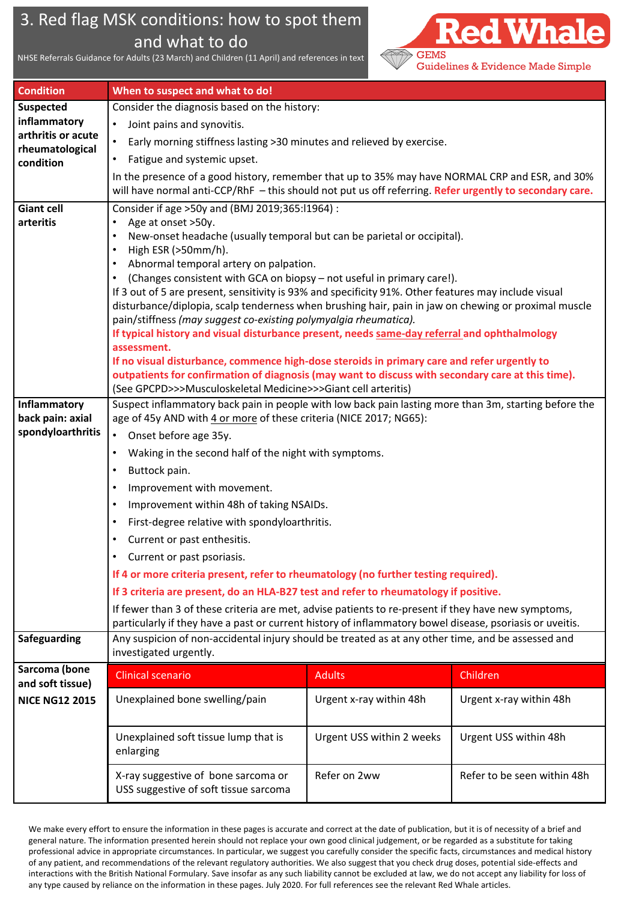# 3. Red flag MSK conditions: how to spot them and what to do

NHSE Referrals Guidance for Adults (23 March) and Children (11 April) and references in text



| <b>Condition</b>                      | When to suspect and what to do!                                                                                                                                                                                 |                           |                             |  |  |
|---------------------------------------|-----------------------------------------------------------------------------------------------------------------------------------------------------------------------------------------------------------------|---------------------------|-----------------------------|--|--|
| <b>Suspected</b>                      | Consider the diagnosis based on the history:                                                                                                                                                                    |                           |                             |  |  |
| inflammatory                          | Joint pains and synovitis.                                                                                                                                                                                      |                           |                             |  |  |
| arthritis or acute<br>rheumatological | Early morning stiffness lasting >30 minutes and relieved by exercise.<br>$\bullet$                                                                                                                              |                           |                             |  |  |
| condition                             | Fatigue and systemic upset.                                                                                                                                                                                     |                           |                             |  |  |
|                                       | In the presence of a good history, remember that up to 35% may have NORMAL CRP and ESR, and 30%<br>will have normal anti-CCP/RhF - this should not put us off referring. Refer urgently to secondary care.      |                           |                             |  |  |
| <b>Giant cell</b>                     | Consider if age > 50y and (BMJ 2019;365:11964) :                                                                                                                                                                |                           |                             |  |  |
| arteritis                             | Age at onset >50y.                                                                                                                                                                                              |                           |                             |  |  |
|                                       | New-onset headache (usually temporal but can be parietal or occipital).                                                                                                                                         |                           |                             |  |  |
|                                       | High ESR (>50mm/h).<br>Abnormal temporal artery on palpation.                                                                                                                                                   |                           |                             |  |  |
|                                       | (Changes consistent with GCA on biopsy - not useful in primary care!).                                                                                                                                          |                           |                             |  |  |
|                                       | If 3 out of 5 are present, sensitivity is 93% and specificity 91%. Other features may include visual                                                                                                            |                           |                             |  |  |
|                                       | disturbance/diplopia, scalp tenderness when brushing hair, pain in jaw on chewing or proximal muscle                                                                                                            |                           |                             |  |  |
|                                       | pain/stiffness (may suggest co-existing polymyalgia rheumatica).                                                                                                                                                |                           |                             |  |  |
|                                       | If typical history and visual disturbance present, needs same-day referral and ophthalmology<br>assessment.                                                                                                     |                           |                             |  |  |
|                                       | If no visual disturbance, commence high-dose steroids in primary care and refer urgently to                                                                                                                     |                           |                             |  |  |
|                                       | outpatients for confirmation of diagnosis (may want to discuss with secondary care at this time).                                                                                                               |                           |                             |  |  |
|                                       | (See GPCPD>>>Musculoskeletal Medicine>>>Giant cell arteritis)                                                                                                                                                   |                           |                             |  |  |
| Inflammatory                          | Suspect inflammatory back pain in people with low back pain lasting more than 3m, starting before the                                                                                                           |                           |                             |  |  |
| back pain: axial<br>spondyloarthritis | age of 45y AND with 4 or more of these criteria (NICE 2017; NG65):                                                                                                                                              |                           |                             |  |  |
|                                       | Onset before age 35y.<br>$\bullet$                                                                                                                                                                              |                           |                             |  |  |
|                                       | Waking in the second half of the night with symptoms.                                                                                                                                                           |                           |                             |  |  |
|                                       | Buttock pain.<br>$\bullet$                                                                                                                                                                                      |                           |                             |  |  |
|                                       | Improvement with movement.                                                                                                                                                                                      |                           |                             |  |  |
|                                       | Improvement within 48h of taking NSAIDs.<br>$\bullet$                                                                                                                                                           |                           |                             |  |  |
|                                       | First-degree relative with spondyloarthritis.                                                                                                                                                                   |                           |                             |  |  |
|                                       | Current or past enthesitis.<br>$\bullet$                                                                                                                                                                        |                           |                             |  |  |
|                                       | Current or past psoriasis.                                                                                                                                                                                      |                           |                             |  |  |
|                                       | If 4 or more criteria present, refer to rheumatology (no further testing required).                                                                                                                             |                           |                             |  |  |
|                                       | If 3 criteria are present, do an HLA-B27 test and refer to rheumatology if positive.                                                                                                                            |                           |                             |  |  |
|                                       | If fewer than 3 of these criteria are met, advise patients to re-present if they have new symptoms,<br>particularly if they have a past or current history of inflammatory bowel disease, psoriasis or uveitis. |                           |                             |  |  |
| Safeguarding                          | Any suspicion of non-accidental injury should be treated as at any other time, and be assessed and<br>investigated urgently.                                                                                    |                           |                             |  |  |
| Sarcoma (bone                         | <b>Clinical scenario</b>                                                                                                                                                                                        | <b>Adults</b>             | Children                    |  |  |
| and soft tissue)                      |                                                                                                                                                                                                                 |                           |                             |  |  |
| <b>NICE NG12 2015</b>                 | Unexplained bone swelling/pain                                                                                                                                                                                  | Urgent x-ray within 48h   | Urgent x-ray within 48h     |  |  |
|                                       | Unexplained soft tissue lump that is<br>enlarging                                                                                                                                                               | Urgent USS within 2 weeks | Urgent USS within 48h       |  |  |
|                                       | X-ray suggestive of bone sarcoma or<br>USS suggestive of soft tissue sarcoma                                                                                                                                    | Refer on 2ww              | Refer to be seen within 48h |  |  |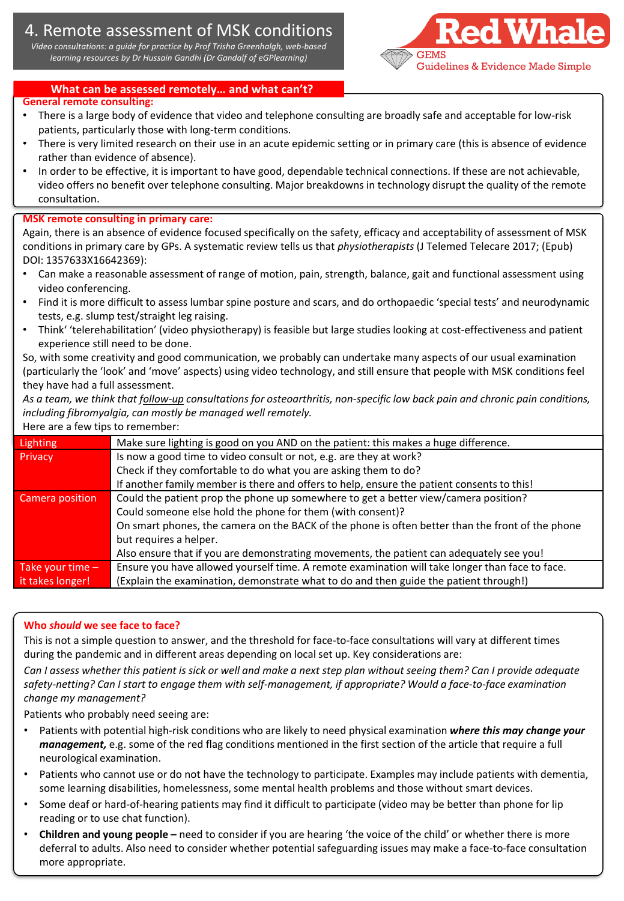## 4. Remote assessment of MSK conditions

*Video consultations: a guide for practice by Prof Trisha Greenhalgh, web-based learning resources by Dr Hussain Gandhi (Dr Gandalf of eGPlearning)* GEMS



#### **What can be assessed remotely… and what can't?**

#### **General remote consulting:**

- There is a large body of evidence that video and telephone consulting are broadly safe and acceptable for low-risk patients, particularly those with long-term conditions.
- There is very limited research on their use in an acute epidemic setting or in primary care (this is absence of evidence rather than evidence of absence).
- In order to be effective, it is important to have good, dependable technical connections. If these are not achievable, video offers no benefit over telephone consulting. Major breakdowns in technology disrupt the quality of the remote consultation.

#### **MSK remote consulting in primary care:**

Again, there is an absence of evidence focused specifically on the safety, efficacy and acceptability of assessment of MSK conditions in primary care by GPs. A systematic review tells us that *physiotherapists* (J Telemed Telecare 2017; (Epub) DOI: 1357633X16642369):

- Can make a reasonable assessment of range of motion, pain, strength, balance, gait and functional assessment using video conferencing.
- Find it is more difficult to assess lumbar spine posture and scars, and do orthopaedic 'special tests' and neurodynamic tests, e.g. slump test/straight leg raising.
- Think' 'telerehabilitation' (video physiotherapy) is feasible but large studies looking at cost-effectiveness and patient experience still need to be done.

So, with some creativity and good communication, we probably can undertake many aspects of our usual examination (particularly the 'look' and 'move' aspects) using video technology, and still ensure that people with MSK conditions feel they have had a full assessment.

*As a team, we think that follow-up consultations for osteoarthritis, non-specific low back pain and chronic pain conditions, including fibromyalgia, can mostly be managed well remotely.*

Here are a few tips to remember:

| Lighting           | Make sure lighting is good on you AND on the patient: this makes a huge difference.              |  |  |
|--------------------|--------------------------------------------------------------------------------------------------|--|--|
| Privacy            | Is now a good time to video consult or not, e.g. are they at work?                               |  |  |
|                    | Check if they comfortable to do what you are asking them to do?                                  |  |  |
|                    | If another family member is there and offers to help, ensure the patient consents to this!       |  |  |
| Camera position    | Could the patient prop the phone up somewhere to get a better view/camera position?              |  |  |
|                    | Could someone else hold the phone for them (with consent)?                                       |  |  |
|                    | On smart phones, the camera on the BACK of the phone is often better than the front of the phone |  |  |
|                    | but requires a helper.                                                                           |  |  |
|                    | Also ensure that if you are demonstrating movements, the patient can adequately see you!         |  |  |
| Take your time $-$ | Ensure you have allowed yourself time. A remote examination will take longer than face to face.  |  |  |
| it takes longer!   | (Explain the examination, demonstrate what to do and then guide the patient through!)            |  |  |
|                    |                                                                                                  |  |  |

#### **Who** *should* **we see face to face?**

This is not a simple question to answer, and the threshold for face-to-face consultations will vary at different times during the pandemic and in different areas depending on local set up. Key considerations are:

*Can I assess whether this patient is sick or well and make a next step plan without seeing them? Can I provide adequate safety-netting? Can I start to engage them with self-management, if appropriate? Would a face-to-face examination change my management?* 

Patients who probably need seeing are:

- Patients with potential high-risk conditions who are likely to need physical examination *where this may change your management,* e.g. some of the red flag conditions mentioned in the first section of the article that require a full neurological examination.
- Patients who cannot use or do not have the technology to participate. Examples may include patients with dementia, some learning disabilities, homelessness, some mental health problems and those without smart devices.
- Some deaf or hard-of-hearing patients may find it difficult to participate (video may be better than phone for lip reading or to use chat function).
- **Children and young people –** need to consider if you are hearing 'the voice of the child' or whether there is more deferral to adults. Also need to consider whether potential safeguarding issues may make a face-to-face consultation more appropriate.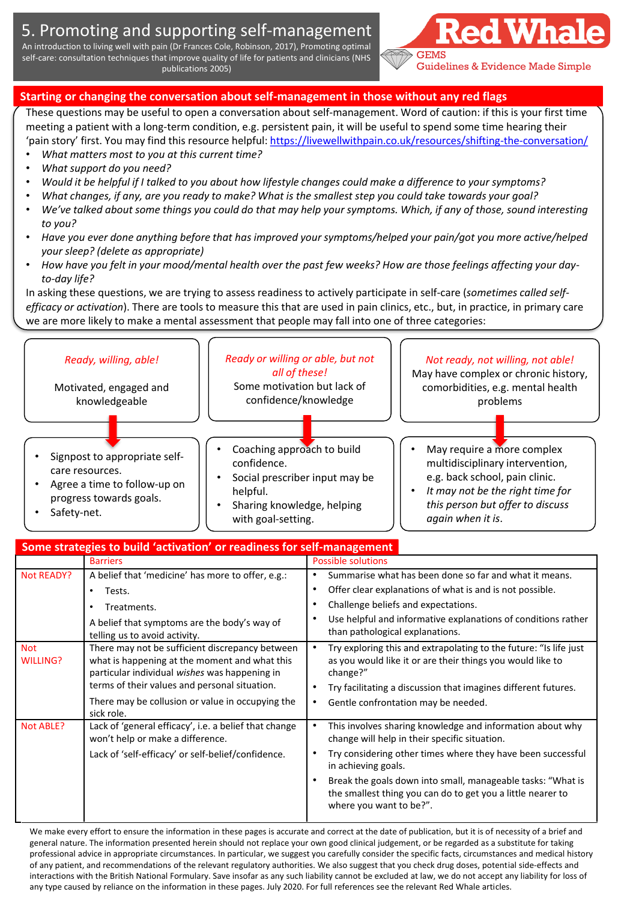## 5. Promoting and supporting self-management

An introduction to living well with pain (Dr Frances Cole, Robinson, 2017), Promoting optimal self-care: consultation techniques that improve quality of life for patients and clinicians (NHS publications 2005)



### **Starting or changing the conversation about self-management in those without any red flags**

These questions may be useful to open a conversation about self-management. Word of caution: if this is your first time meeting a patient with a long-term condition, e.g. persistent pain, it will be useful to spend some time hearing their 'pain story' first. You may find this resource helpful: <https://livewellwithpain.co.uk/resources/shifting-the-conversation/>

- *What matters most to you at this current time?*
- *What support do you need?*
- *Would it be helpful if I talked to you about how lifestyle changes could make a difference to your symptoms?*
- *What changes, if any, are you ready to make? What is the smallest step you could take towards your goal?*
- *We've talked about some things you could do that may help your symptoms. Which, if any of those, sound interesting to you?*
- *Have you ever done anything before that has improved your symptoms/helped your pain/got you more active/helped your sleep? (delete as appropriate)*
- *How have you felt in your mood/mental health over the past few weeks? How are those feelings affecting your dayto-day life?*

In asking these questions, we are trying to assess readiness to actively participate in self-care (*sometimes called selfefficacy or activation*). There are tools to measure this that are used in pain clinics, etc., but, in practice, in primary care we are more likely to make a mental assessment that people may fall into one of three categories:



| Some strategies to build 'activation' or readiness for self-management |                                                                                                                                                                                                                                                        |                                                                                                                                                                                                                                                                                                                                                                                     |  |  |
|------------------------------------------------------------------------|--------------------------------------------------------------------------------------------------------------------------------------------------------------------------------------------------------------------------------------------------------|-------------------------------------------------------------------------------------------------------------------------------------------------------------------------------------------------------------------------------------------------------------------------------------------------------------------------------------------------------------------------------------|--|--|
|                                                                        | <b>Barriers</b>                                                                                                                                                                                                                                        | <b>Possible solutions</b>                                                                                                                                                                                                                                                                                                                                                           |  |  |
| <b>Not READY?</b>                                                      | A belief that 'medicine' has more to offer, e.g.:                                                                                                                                                                                                      | Summarise what has been done so far and what it means.<br>٠                                                                                                                                                                                                                                                                                                                         |  |  |
|                                                                        | Tests.<br>٠                                                                                                                                                                                                                                            | Offer clear explanations of what is and is not possible.<br>$\bullet$                                                                                                                                                                                                                                                                                                               |  |  |
|                                                                        | Treatments.                                                                                                                                                                                                                                            | Challenge beliefs and expectations.<br>٠                                                                                                                                                                                                                                                                                                                                            |  |  |
|                                                                        | A belief that symptoms are the body's way of<br>telling us to avoid activity.                                                                                                                                                                          | Use helpful and informative explanations of conditions rather<br>٠<br>than pathological explanations.                                                                                                                                                                                                                                                                               |  |  |
| <b>Not</b><br><b>WILLING?</b>                                          | There may not be sufficient discrepancy between<br>what is happening at the moment and what this<br>particular individual wishes was happening in<br>terms of their values and personal situation.<br>There may be collusion or value in occupying the | $\bullet$<br>Try exploring this and extrapolating to the future: "Is life just<br>as you would like it or are their things you would like to<br>change?"<br>Try facilitating a discussion that imagines different futures.<br>٠<br>Gentle confrontation may be needed.<br>٠                                                                                                         |  |  |
| <b>Not ABLE?</b>                                                       | sick role.<br>Lack of 'general efficacy', i.e. a belief that change<br>won't help or make a difference.<br>Lack of 'self-efficacy' or self-belief/confidence.                                                                                          | This involves sharing knowledge and information about why<br>$\bullet$<br>change will help in their specific situation.<br>Try considering other times where they have been successful<br>in achieving goals.<br>Break the goals down into small, manageable tasks: "What is<br>$\bullet$<br>the smallest thing you can do to get you a little nearer to<br>where you want to be?". |  |  |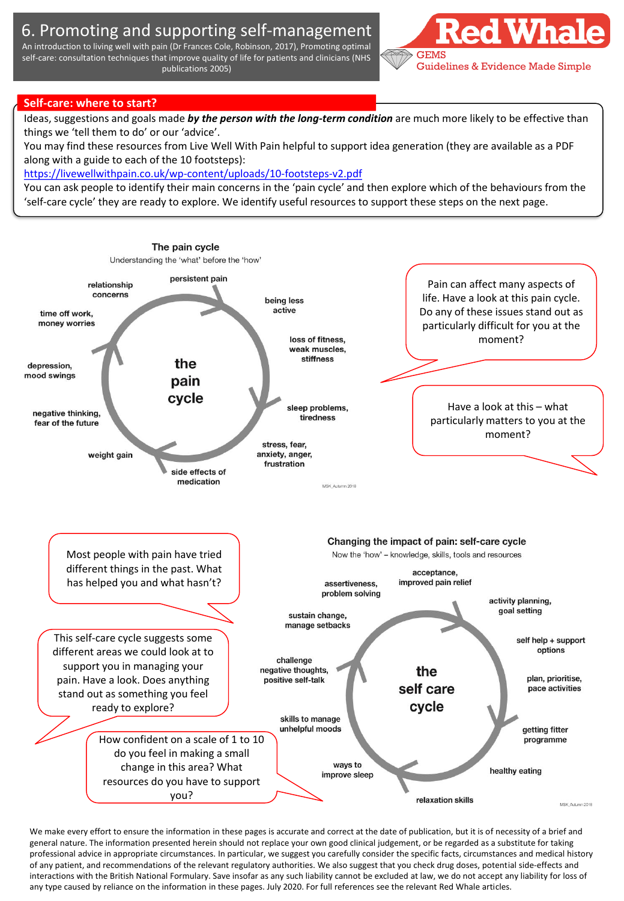## 6. Promoting and supporting self-management

An introduction to living well with pain (Dr Frances Cole, Robinson, 2017), Promoting optimal self-care: consultation techniques that improve quality of life for patients and clinicians (NHS publications 2005)



#### **Self-care: where to start?**

Ideas, suggestions and goals made *by the person with the long-term condition* are much more likely to be effective than things we 'tell them to do' or our 'advice'.

You may find these resources from Live Well With Pain helpful to support idea generation (they are available as a PDF along with a guide to each of the 10 footsteps):

<https://livewellwithpain.co.uk/wp-content/uploads/10-footsteps-v2.pdf>

You can ask people to identify their main concerns in the 'pain cycle' and then explore which of the behaviours from the 'self-care cycle' they are ready to explore. We identify useful resources to support these steps on the next page.